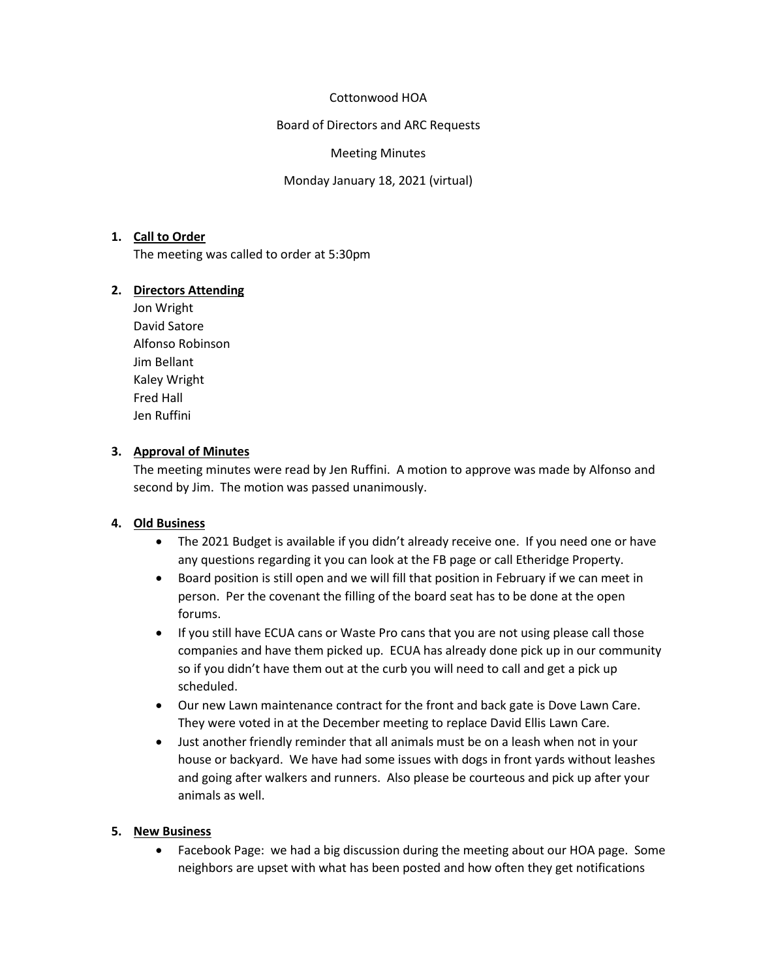### Cottonwood HOA

Board of Directors and ARC Requests

#### Meeting Minutes

Monday January 18, 2021 (virtual)

### **1. Call to Order**

The meeting was called to order at 5:30pm

### **2. Directors Attending**

Jon Wright David Satore Alfonso Robinson Jim Bellant Kaley Wright Fred Hall Jen Ruffini

## **3. Approval of Minutes**

The meeting minutes were read by Jen Ruffini. A motion to approve was made by Alfonso and second by Jim. The motion was passed unanimously.

### **4. Old Business**

- The 2021 Budget is available if you didn't already receive one. If you need one or have any questions regarding it you can look at the FB page or call Etheridge Property.
- Board position is still open and we will fill that position in February if we can meet in person. Per the covenant the filling of the board seat has to be done at the open forums.
- If you still have ECUA cans or Waste Pro cans that you are not using please call those companies and have them picked up. ECUA has already done pick up in our community so if you didn't have them out at the curb you will need to call and get a pick up scheduled.
- Our new Lawn maintenance contract for the front and back gate is Dove Lawn Care. They were voted in at the December meeting to replace David Ellis Lawn Care.
- Just another friendly reminder that all animals must be on a leash when not in your house or backyard. We have had some issues with dogs in front yards without leashes and going after walkers and runners. Also please be courteous and pick up after your animals as well.

### **5. New Business**

• Facebook Page: we had a big discussion during the meeting about our HOA page. Some neighbors are upset with what has been posted and how often they get notifications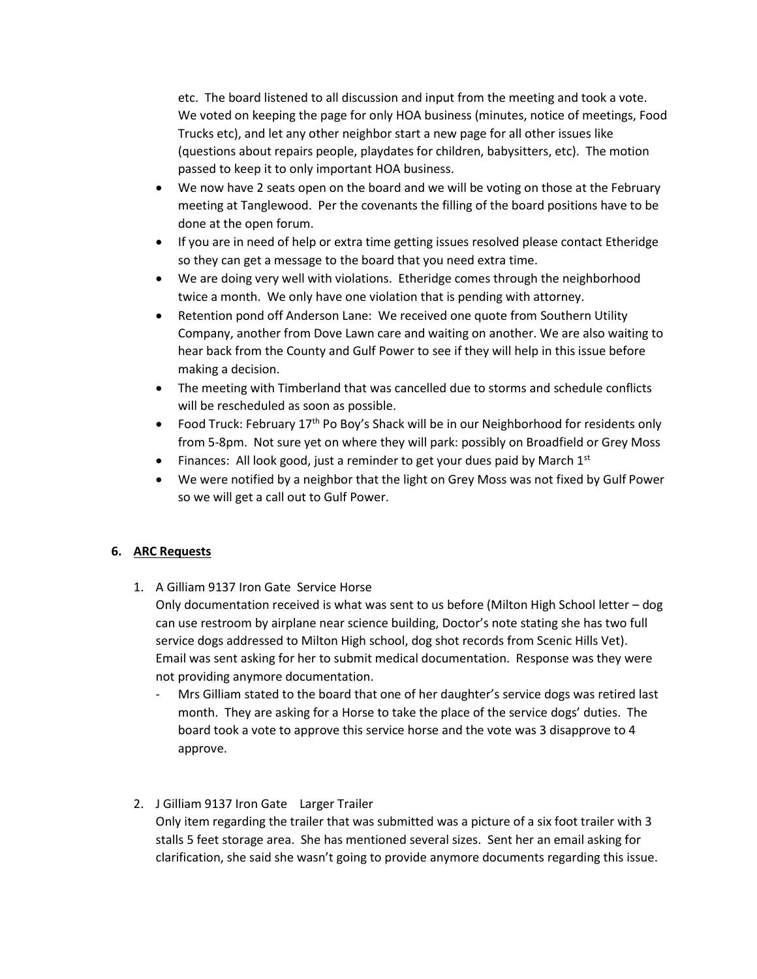etc. The board listened to all discussion and input from the meeting and took a vote. We voted on keeping the page for only HOA business (minutes, notice of meetings, Food Trucks etc), and let any other neighbor start a new page for all other issues like (questions about repairs people, playdates for children, babysitters, etc). The motion passed to keep it to only important HOA business.

- We now have 2 seats open on the board and we will be voting on those at the February meeting at Tanglewood. Per the covenants the filling of the board positions have to be done at the open forum.
- If you are in need of help or extra time getting issues resolved please contact Etheridge so they can get a message to the board that you need extra time.
- We are doing very well with violations. Etheridge comes through the neighborhood twice a month. We only have one violation that is pending with attorney.
- Retention pond off Anderson Lane: We received one quote from Southern Utility Company, another from Dove Lawn care and waiting on another. We are also waiting to hear back from the County and Gulf Power to see if they will help in this issue before making a decision.
- The meeting with Timberland that was cancelled due to storms and schedule conflicts will be rescheduled as soon as possible.
- Food Truck: February  $17<sup>th</sup>$  Po Boy's Shack will be in our Neighborhood for residents only from 5-8pm. Not sure yet on where they will park: possibly on Broadfield or Grey Moss
- Finances: All look good, just a reminder to get your dues paid by March  $1<sup>st</sup>$
- We were notified by a neighbor that the light on Grey Moss was not fixed by Gulf Power so we will get a call out to Gulf Power.

## **6. ARC Requests**

1. A Gilliam 9137 Iron Gate Service Horse

Only documentation received is what was sent to us before (Milton High School letter – dog can use restroom by airplane near science building, Doctor's note stating she has two full service dogs addressed to Milton High school, dog shot records from Scenic Hills Vet). Email was sent asking for her to submit medical documentation. Response was they were not providing anymore documentation.

Mrs Gilliam stated to the board that one of her daughter's service dogs was retired last month. They are asking for a Horse to take the place of the service dogs' duties. The board took a vote to approve this service horse and the vote was 3 disapprove to 4 approve.

## 2. J Gilliam 9137 Iron Gate Larger Trailer

Only item regarding the trailer that was submitted was a picture of a six foot trailer with 3 stalls 5 feet storage area. She has mentioned several sizes. Sent her an email asking for clarification, she said she wasn't going to provide anymore documents regarding this issue.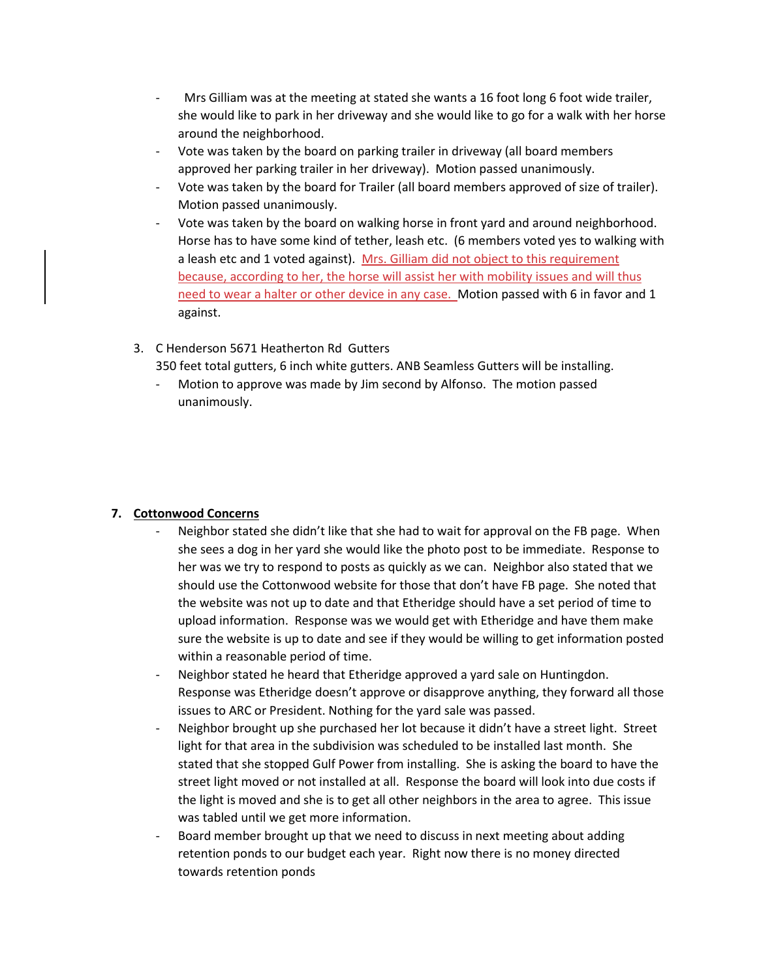- Mrs Gilliam was at the meeting at stated she wants a 16 foot long 6 foot wide trailer, she would like to park in her driveway and she would like to go for a walk with her horse around the neighborhood.
- Vote was taken by the board on parking trailer in driveway (all board members approved her parking trailer in her driveway). Motion passed unanimously.
- Vote was taken by the board for Trailer (all board members approved of size of trailer). Motion passed unanimously.
- Vote was taken by the board on walking horse in front yard and around neighborhood. Horse has to have some kind of tether, leash etc. (6 members voted yes to walking with a leash etc and 1 voted against). Mrs. Gilliam did not object to this requirement because, according to her, the horse will assist her with mobility issues and will thus need to wear a halter or other device in any case. Motion passed with 6 in favor and 1 against.
- 3. C Henderson 5671 Heatherton Rd Gutters

350 feet total gutters, 6 inch white gutters. ANB Seamless Gutters will be installing.

Motion to approve was made by Jim second by Alfonso. The motion passed unanimously.

## **7. Cottonwood Concerns**

- Neighbor stated she didn't like that she had to wait for approval on the FB page. When she sees a dog in her yard she would like the photo post to be immediate. Response to her was we try to respond to posts as quickly as we can. Neighbor also stated that we should use the Cottonwood website for those that don't have FB page. She noted that the website was not up to date and that Etheridge should have a set period of time to upload information. Response was we would get with Etheridge and have them make sure the website is up to date and see if they would be willing to get information posted within a reasonable period of time.
- Neighbor stated he heard that Etheridge approved a yard sale on Huntingdon. Response was Etheridge doesn't approve or disapprove anything, they forward all those issues to ARC or President. Nothing for the yard sale was passed.
- Neighbor brought up she purchased her lot because it didn't have a street light. Street light for that area in the subdivision was scheduled to be installed last month. She stated that she stopped Gulf Power from installing. She is asking the board to have the street light moved or not installed at all. Response the board will look into due costs if the light is moved and she is to get all other neighbors in the area to agree. This issue was tabled until we get more information.
- Board member brought up that we need to discuss in next meeting about adding retention ponds to our budget each year. Right now there is no money directed towards retention ponds